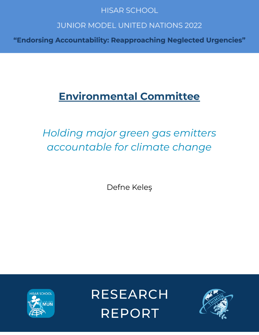# **HISAR SCHOOL**

# **JUNIOR MODEL UNITED NATIONS 2022**

"Endorsing Accountability: Reapproaching Neglected Urgencies"

# **Environmental Committee**

# Holding major green gas emitters accountable for climate change

Defne Keleş



RESEARCH **REPORT** 

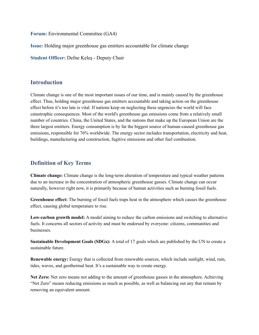**Forum:** Environmental Committee (GA4)

**Issue:** Holding major greenhouse gas emitters accountable for climate change

**Student Officer:** Defne Keleş - Deputy Chair

#### **Introduction**

Climate change is one of the most important issues of our time, and is mainly caused by the greenhouse effect. Thus, holding major greenhouse gas emitters accountable and taking action on the greenhouse effect before it's too late is vital. If nations keep on neglecting these urgencies the world will face catastrophic consequences. Most of the world's greenhouse gas emissions come from a relatively small number of countries. China, the United States, and the nations that make up the European Union are the three largest emitters. Energy consumption is by far the biggest source of human-caused greenhouse gas emissions, responsible for 76% worldwide. The energy sector includes transportation, electricity and heat, buildings, manufacturing and construction, fugitive emissions and other fuel combustion.

## **Definition of Key Terms**

**Climate change:** Climate change is the long-term alteration of temperature and typical weather patterns due to an increase in the concentration of atmospheric greenhouse gasses. Climate change can occur naturally, however right now, it is primarily because of human activities such as burning fossil fuels.

**Greenhouse effect:** The burning of fossil fuels traps heat in the atmosphere which causes the greenhouse effect, causing global temperature to rise.

**Low-carbon growth model:** A model aiming to reduce the carbon emissions and switching to alternative fuels. It concerns all sectors of activity and must be endorsed by everyone: citizens, communities and businesses.

**Sustainable Development Goals (SDGs):** A total of 17 goals which are published by the UN to create a sustainable future.

**Renewable energy:** Energy that is collected from renewable sources, which include sunlight, wind, rain, tides, waves, and geothermal heat. It's a sustainable way to create energy.

**Net Zero:** Net zero means not adding to the amount of greenhouse gasses in the atmosphere. Achieving "Net Zero" means reducing emissions as much as possible, as well as balancing out any that remain by removing an equivalent amount.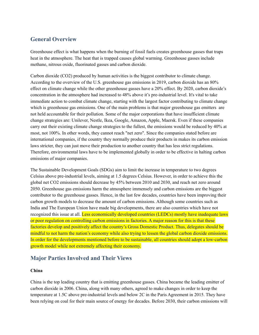# **General Overview**

Greenhouse effect is what happens when the burning of fossil fuels creates greenhouse gasses that traps heat in the atmosphere. The heat that is trapped causes global warming. Greenhouse gasses include methane, nitrous oxide, fluorinated gasses and carbon dioxide.

Carbon dioxide (CO2) produced by human activities is the biggest contributor to climate change. According to the overview of the U.S. greenhouse gas emissions in 2019, carbon dioxide has an 80% effect on climate change while the other greenhouse gasses have a 20% effect. By 2020, carbon dioxide's concentration in the atmosphere had increased to 48% above it's pre-industrial level. It's vital to take immediate action to combat climate change, starting with the largest factor contributing to climate change which is greenhouse gas emissions. One of the main problems is that major greenhouse gas emitters are not held accountable for their pollution. Some of the major corporations that have insufficient climate change strategies are: Unilever, Nestle, Ikea, Google, Amazon, Apple, Maersk. Even if these companies carry out their existing climate change strategies to the fullest, the emissions would be reduced by 40% at most, not 100%. In other words, they cannot reach "net zero". Since the companies stated before are international companies, if the country they normally produce their products in makes its carbon emission laws stricter, they can just move their production to another country that has less strict regulations. Therefore, environmental laws have to be implemented globally in order to be effective in halting carbon emissions of major companies.

The Sustainable Development Goals (SDGs) aim to limit the increase in temperature to two degrees Celsius above pre-industrial levels, aiming at 1.5 degrees Celsius. However, in order to achieve this the global net CO2 emissions should decrease by 45% between 2010 and 2030, and reach net zero around 2050. Greenhouse gas emissions harm the atmosphere immensely and carbon emissions are the biggest contributor to the greenhouse gasses. Hence, in the last few decades, countries have been improving their carbon growth models to decrease the amount of carbon emissions. Although some countries such as India and The European Union have made big developments, there are also countries which have not recognized this issue at all. Less economically developed countries (LEDCs) mostly have inadequate laws or poor regulation on controlling carbon emissions in factories. A major reason for this is that these factories develop and positively affect the country's Gross Domestic Product. Thus, delegates should be mindful to not harm the nation's economy while also trying to lessen the global carbon dioxide emissions. In order for the developments mentioned before to be sustainable, all countries should adopt a low-carbon growth model while not extremely affecting their economy.

## **Major Parties Involved and Their Views**

#### **China**

China is the top leading country that is emitting greenhouse gasses. China became the leading emitter of carbon dioxide in 2006. China, along with many others, agreed to make changes in order to keep the temperature at 1.5C above pre-industrial levels and below 2C in the Paris Agreement in 2015. They have been relying on coal for their main source of energy for decades. Before 2030, their carbon emissions will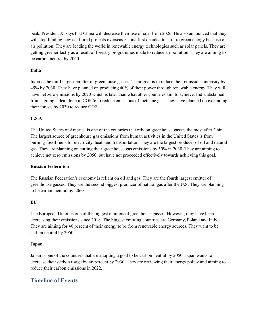peak. President Xi says that China will decrease their use of coal from 2026. He also announced that they will stop funding new coal fired projects overseas. China first decided to shift to green energy because of air pollution. They are leading the world in renewable energy technologies such as solar panels. They are getting greener fastly as a result of forestry programmes made to reduce air pollution. They are aiming to be carbon neutral by 2060.

#### **India**

India is the third largest emitter of greenhouse gasses. Their goal is to reduce their emissions intensity by 45% by 2030. They have planned on producing 40% of their power through renewable energy. They will have net zero emissions by 2070 which is later than what other countries aim to achieve. India abstained from signing a deal done in COP26 to reduce emissions of methane gas. They have planned on expanding their forests by 2030 to reduce CO2.

#### **U.S.A**

The United States of America is one of the countries that rely on greenhouse gasses the most after China. The largest source of greenhouse gas emissions from human activities in the United States is from burning fossil fuels for electricity, heat, and transportation.They are the largest producer of oil and natural gas. They are planning on cutting their greenhouse gas emissions by 50% in 2030. They are aiming to achieve net zero emissions by 2050, but have not proceeded effectively towards achieving this goal.

#### **Russian Federation**

The Russian Federation's economy is reliant on oil and gas. They are the fourth largest emitter of greenhouse gasses. They are the second biggest producer of natural gas after the U.S. They are planning to be carbon neutral by 2060.

#### **EU**

The European Union is one of the biggest emitters of greenhouse gasses. However, they have been decreasing their emissions since 2018. The biggest emitting countries are Germany, Poland and Italy. They are aiming for 40 percent of their energy to be from renewable energy sources. They want to be carbon neutral by 2050.

#### **Japan**

Japan is one of the countries that are adopting a goal to be carbon neutral by 2050. Japan wants to decrease their carbon usage by 46 percent by 2030. They are reviewing their energy policy and aiming to reduce their carbon emissions in 2022.

## **Timeline of Events**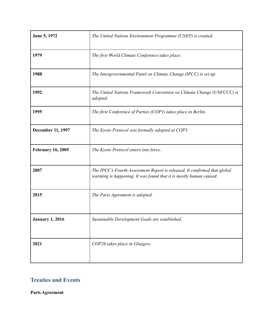| June 5, 1972             | The United Nations Environment Programme (UNEP) is created.                                                                                     |
|--------------------------|-------------------------------------------------------------------------------------------------------------------------------------------------|
| 1979                     | The first World Climate Conference takes place.                                                                                                 |
| 1988                     | The Intergovernmental Panel on Climate Change (IPCC) is set up.                                                                                 |
| 1992                     | The United Nations Framework Convention on Climate Change (UNFCCC) is<br>adopted.                                                               |
| 1995                     | The first Conference of Parties (COP1) takes place in Berlin.                                                                                   |
| December 11, 1997        | The Kyoto Protocol was formally adopted at COP3.                                                                                                |
| <b>February 16, 2005</b> | The Kyoto Protocol enters into force.                                                                                                           |
| 2007                     | The IPCC's Fourth Assessment Report is released. It confirmed that global<br>warming is happening. It was found that it is mostly human caused. |
| 2015                     | The Paris Agreement is adopted.                                                                                                                 |
| <b>January 1, 2016</b>   | Sustainable Development Goals are established.                                                                                                  |
| 2021                     | COP26 takes place in Glasgow.                                                                                                                   |

# **Treaties and Events**

**Paris Agreement**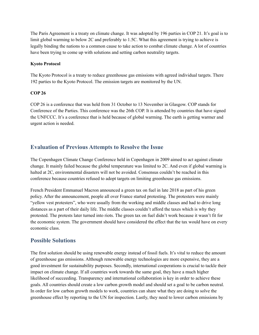The Paris Agreement is a treaty on climate change. It was adopted by 196 parties in COP 21. It's goal is to limit global warming to below 2C and preferably to 1.5C. What this agreement is trying to achieve is legally binding the nations to a common cause to take action to combat climate change. A lot of countries have been trying to come up with solutions and setting carbon neutrality targets.

#### **Kyoto Protocol**

The Kyoto Protocol is a treaty to reduce greenhouse gas emissions with agreed individual targets. There 192 parties to the Kyoto Protocol. The emission targets are monitored by the UN.

#### **COP 26**

COP 26 is a conference that was held from 31 October to 13 November in Glasgow. COP stands for Conference of the Parties. This conference was the 26th COP. It is attended by countries that have signed the UNFCCC. It's a conference that is held because of global warming. The earth is getting warmer and urgent action is needed.

## **Evaluation of Previous Attempts to Resolve the Issue**

The Copenhagen Climate Change Conference held in Copenhagen in 2009 aimed to act against climate change. It mainly failed because the global temperature was limited to 2C. And even if global warming is halted at 2C, environmental disasters will not be avoided. Consensus couldn't be reached in this conference because countries refused to adopt targets on limiting greenhouse gas emissions.

French President Emmanuel Macron announced a green tax on fuel in late 2018 as part of his green policy. After the announcement, people all over France started protesting. The protesters were mainly "yellow vest protesters", who were usually from the working and middle classes and had to drive long distances as a part of their daily life. The middle classes couldn't afford the taxes which is why they protested. The protests later turned into riots. The green tax on fuel didn't work because it wasn't fit for the economic system. The government should have considered the effect that the tax would have on every economic class.

# **Possible Solutions**

The first solution should be using renewable energy instead of fossil fuels. It's vital to reduce the amount of greenhouse gas emissions. Although renewable energy technologies are more expensive, they are a good investment for sustainability purposes. Secondly, international cooperations is crucial to tackle their impact on climate change. If all countries work towards the same goal, they have a much higher likelihood of succeeding. Transparency and international collaboration is key in order to achieve these goals. All countries should create a low carbon growth model and should set a goal to be carbon neutral. In order for low carbon growth models to work, countries can share what they are doing to solve the greenhouse effect by reporting to the UN for inspection. Lastly, they need to lower carbon emissions by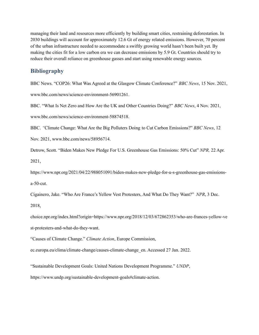managing their land and resources more efficiently by building smart cities, restraining deforestation. In 2030 buildings will account for approximately 12.6 Gt of energy related emissions. However, 70 percent of the urban infrastructure needed to accommodate a swiftly growing world hasn't been built yet. By making the cities fit for a low carbon era we can decrease emissions by 5.9 Gt. Countries should try to reduce their overall reliance on greenhouse gasses and start using renewable energy sources.

#### **Bibliography**

BBC News. "COP26: What Was Agreed at the Glasgow Climate Conference?" *BBC News*, 15 Nov. 2021,

www.bbc.com/news/science-environment-56901261.

BBC. "What Is Net Zero and How Are the UK and Other Countries Doing?" *BBC News*, 4 Nov. 2021,

www.bbc.com/news/science-environment-58874518.

BBC. *"*Climate Change: What Are the Big Polluters Doing to Cut Carbon Emissions?" *BBC News*, 12

Nov. 2021, www.bbc.com/news/58956714.

Detrow, Scott. "Biden Makes New Pledge For U.S. Greenhouse Gas Emissions: 50% Cut" *NPR,* 22 Apr. 2021,

https://www.npr.org/2021/04/22/988051091/biden-makes-new-pledge-for-u-s-greenhouse-gas-emissionsa-50-cut.

Cigainero, Jake. "Who Are France's Yellow Vest Protesters, And What Do They Want?" *NPR*, 3 Dec. 2018,

choice.npr.org/index.html?origin=https://www.npr.org/2018/12/03/672862353/who-are-frances-yellow-ve st-protesters-and-what-do-they-want.

"Causes of Climate Change." *Climate Action*, Europe Commission,

ec.europa.eu/clima/climate-change/causes-climate-change\_en. Accessed 27 Jan. 2022.

"Sustainable Development Goals: United Nations Development Programme." *UNDP*,

https://www.undp.org/sustainable-development-goals#climate-action.